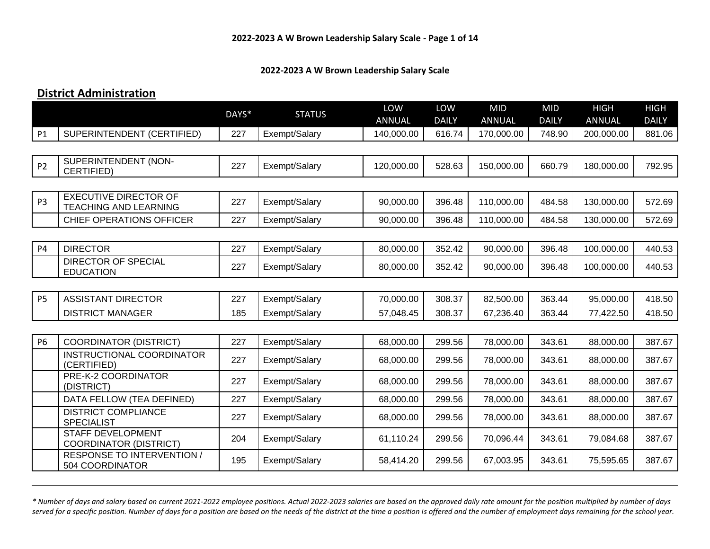#### **2022-2023 A W Brown Leadership Salary Scale**

#### **District Administration**

|                |                                                              | DAYS* | <b>STATUS</b> | LOW<br>ANNUAL | LOW<br><b>DAILY</b> | <b>MID</b><br>ANNUAL | <b>MID</b><br><b>DAILY</b> | <b>HIGH</b><br>ANNUAL | <b>HIGH</b><br><b>DAILY</b> |
|----------------|--------------------------------------------------------------|-------|---------------|---------------|---------------------|----------------------|----------------------------|-----------------------|-----------------------------|
| P1             | SUPERINTENDENT (CERTIFIED)                                   | 227   | Exempt/Salary | 140,000.00    | 616.74              | 170,000.00           | 748.90                     | 200,000.00            | 881.06                      |
|                |                                                              |       |               |               |                     |                      |                            |                       |                             |
| <b>P2</b>      | SUPERINTENDENT (NON-<br>CERTIFIED)                           | 227   | Exempt/Salary | 120,000.00    | 528.63              | 150,000.00           | 660.79                     | 180,000.00            | 792.95                      |
|                |                                                              |       |               |               |                     |                      |                            |                       |                             |
| P <sub>3</sub> | <b>EXECUTIVE DIRECTOR OF</b><br><b>TEACHING AND LEARNING</b> | 227   | Exempt/Salary | 90,000.00     | 396.48              | 110,000.00           | 484.58                     | 130,000.00            | 572.69                      |
|                | <b>CHIEF OPERATIONS OFFICER</b>                              | 227   | Exempt/Salary | 90,000.00     | 396.48              | 110,000.00           | 484.58                     | 130,000.00            | 572.69                      |
|                |                                                              |       |               |               |                     |                      |                            |                       |                             |
| <b>P4</b>      | <b>DIRECTOR</b>                                              | 227   | Exempt/Salary | 80,000.00     | 352.42              | 90,000.00            | 396.48                     | 100,000.00            | 440.53                      |
|                | <b>DIRECTOR OF SPECIAL</b><br><b>EDUCATION</b>               | 227   | Exempt/Salary | 80,000.00     | 352.42              | 90,000.00            | 396.48                     | 100,000.00            | 440.53                      |
|                |                                                              |       |               |               |                     |                      |                            |                       |                             |
| <b>P5</b>      | <b>ASSISTANT DIRECTOR</b>                                    | 227   | Exempt/Salary | 70,000.00     | 308.37              | 82,500.00            | 363.44                     | 95,000.00             | 418.50                      |
|                | <b>DISTRICT MANAGER</b>                                      | 185   | Exempt/Salary | 57,048.45     | 308.37              | 67,236.40            | 363.44                     | 77,422.50             | 418.50                      |
|                |                                                              |       |               |               |                     |                      |                            |                       |                             |
| <b>P6</b>      | <b>COORDINATOR (DISTRICT)</b>                                | 227   | Exempt/Salary | 68,000.00     | 299.56              | 78,000.00            | 343.61                     | 88,000.00             | 387.67                      |
|                | INSTRUCTIONAL COORDINATOR<br>(CERTIFIED)                     | 227   | Exempt/Salary | 68,000.00     | 299.56              | 78,000.00            | 343.61                     | 88,000.00             | 387.67                      |
|                | PRE-K-2 COORDINATOR<br>(DISTRICT)                            | 227   | Exempt/Salary | 68,000.00     | 299.56              | 78,000.00            | 343.61                     | 88,000.00             | 387.67                      |
|                | DATA FELLOW (TEA DEFINED)                                    | 227   | Exempt/Salary | 68,000.00     | 299.56              | 78,000.00            | 343.61                     | 88,000.00             | 387.67                      |
|                | <b>DISTRICT COMPLIANCE</b><br><b>SPECIALIST</b>              | 227   | Exempt/Salary | 68,000.00     | 299.56              | 78,000.00            | 343.61                     | 88,000.00             | 387.67                      |
|                | <b>STAFF DEVELOPMENT</b><br><b>COORDINATOR (DISTRICT)</b>    | 204   | Exempt/Salary | 61,110.24     | 299.56              | 70,096.44            | 343.61                     | 79,084.68             | 387.67                      |
|                | <b>RESPONSE TO INTERVENTION /</b><br>504 COORDINATOR         | 195   | Exempt/Salary | 58,414.20     | 299.56              | 67,003.95            | 343.61                     | 75,595.65             | 387.67                      |

*\* Number of days and salary based on current 2021-2022 employee positions. Actual 2022-2023 salaries are based on the approved daily rate amount for the position multiplied by number of days*  served for a specific position. Number of days for a position are based on the needs of the district at the time a position is offered and the number of employment days remaining for the school year.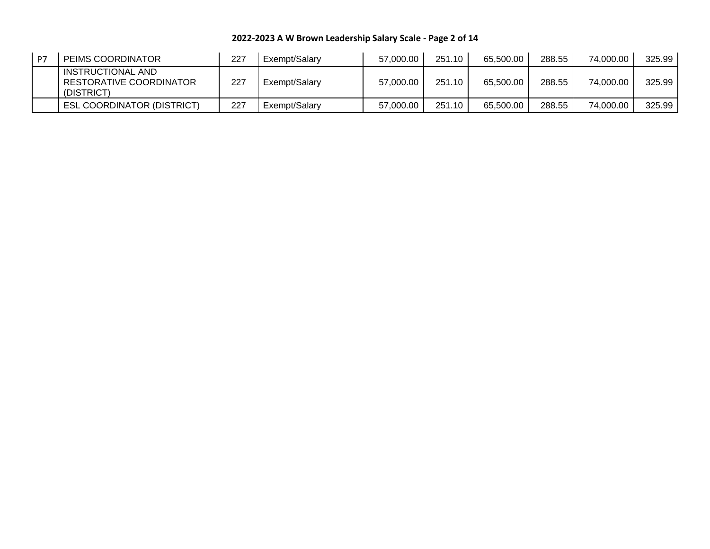**2022-2023 A W Brown Leadership Salary Scale - Page 2 of 14**

| P7 | PEIMS COORDINATOR                                          | 227 | Exempt/Salary | 57,000.00 | 251.10 | 65.500.00 | 288.55 | 74,000.00 | 325.99 |
|----|------------------------------------------------------------|-----|---------------|-----------|--------|-----------|--------|-----------|--------|
|    | INSTRUCTIONAL AND<br>RESTORATIVE COORDINATOR<br>(DISTRICT) | 227 | Exempt/Salary | 57,000.00 | 251.10 | 65.500.00 | 288.55 | 74.000.00 | 325.99 |
|    | <b>ESL COORDINATOR (DISTRICT)</b>                          | 227 | Exempt/Salary | 57,000.00 | 251.10 | 65,500.00 | 288.55 | 74,000.00 | 325.99 |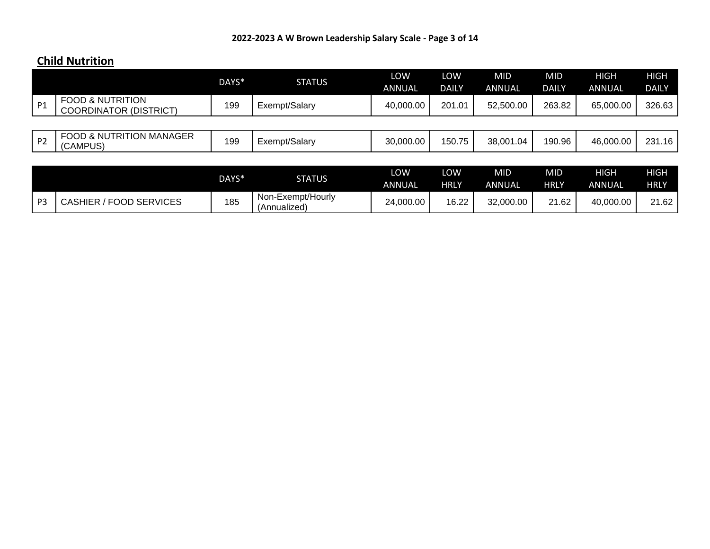# **Child Nutrition**

|                |                                                              | DAYS* | <b>STATUS</b>                     | LOW<br><b>ANNUAL</b> | LOW<br><b>DAILY</b> | <b>MID</b><br>ANNUAL        | <b>MID</b><br><b>DAILY</b> | <b>HIGH</b><br><b>ANNUAL</b> | <b>HIGH</b><br><b>DAILY</b> |
|----------------|--------------------------------------------------------------|-------|-----------------------------------|----------------------|---------------------|-----------------------------|----------------------------|------------------------------|-----------------------------|
| P1             | <b>FOOD &amp; NUTRITION</b><br><b>COORDINATOR (DISTRICT)</b> | 199   | Exempt/Salary                     | 40,000.00            | 201.01              | 52,500.00                   | 263.82                     | 65,000.00                    | 326.63                      |
|                |                                                              |       |                                   |                      |                     |                             |                            |                              |                             |
| P <sub>2</sub> | <b>FOOD &amp; NUTRITION MANAGER</b><br>(CAMPUS)              | 199   | Exempt/Salary                     | 30,000.00            | 150.75              | 38.001.04                   | 190.96                     | 46,000.00                    | 231.16                      |
|                |                                                              |       |                                   |                      |                     |                             |                            |                              |                             |
|                |                                                              | DAYS* | <b>STATUS</b>                     | LOW<br><b>ANNUAL</b> | LOW<br><b>HRLY</b>  | <b>MID</b><br><b>ANNUAL</b> | <b>MID</b><br><b>HRLY</b>  | <b>HIGH</b><br><b>ANNUAL</b> | <b>HIGH</b><br><b>HRLY</b>  |
| P <sub>3</sub> | <b>CASHIER / FOOD SERVICES</b>                               | 185   | Non-Exempt/Hourly<br>(Annualized) | 24,000.00            | 16.22               | 32,000.00                   | 21.62                      | 40,000.00                    | 21.62                       |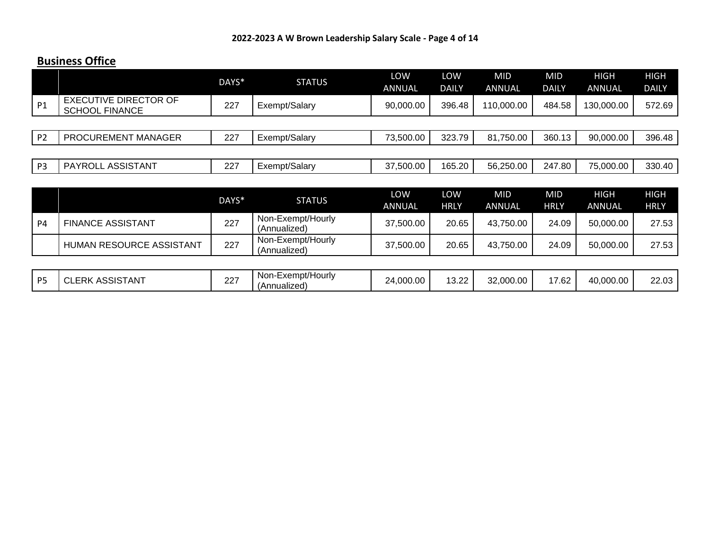#### **Business Office**

|                |                                                | DAYS* | <b>STATUS</b>                     | LOW<br><b>ANNUAL</b> | LOW<br><b>DAILY</b> | <b>MID</b><br>ANNUAL        | <b>MID</b><br><b>DAILY</b> | <b>HIGH</b><br>ANNUAL        | <b>HIGH</b><br><b>DAILY</b> |
|----------------|------------------------------------------------|-------|-----------------------------------|----------------------|---------------------|-----------------------------|----------------------------|------------------------------|-----------------------------|
| P <sub>1</sub> | EXECUTIVE DIRECTOR OF<br><b>SCHOOL FINANCE</b> | 227   | Exempt/Salary                     | 90,000.00            | 396.48              | 110,000.00                  | 484.58                     | 130,000.00                   | 572.69                      |
|                |                                                |       |                                   |                      |                     |                             |                            |                              |                             |
| P <sub>2</sub> | PROCUREMENT MANAGER                            | 227   | Exempt/Salary                     | 73,500.00            | 323.79              | 81,750.00                   | 360.13                     | 90,000.00                    | 396.48                      |
|                |                                                |       |                                   |                      |                     |                             |                            |                              |                             |
| P <sub>3</sub> | PAYROLL ASSISTANT                              | 227   | Exempt/Salary                     | 37,500.00            | 165.20              | 56,250.00                   | 247.80                     | 75,000.00                    | 330.40                      |
|                |                                                |       |                                   |                      |                     |                             |                            |                              |                             |
|                |                                                | DAYS* | <b>STATUS</b>                     | LOW<br><b>ANNUAL</b> | LOW<br><b>HRLY</b>  | <b>MID</b><br><b>ANNUAL</b> | <b>MID</b><br><b>HRLY</b>  | <b>HIGH</b><br><b>ANNUAL</b> | <b>HIGH</b><br><b>HRLY</b>  |
| P <sub>4</sub> | <b>FINANCE ASSISTANT</b>                       | 227   | Non-Exempt/Hourly<br>(Annualized) | 37,500.00            | 20.65               | 43,750.00                   | 24.09                      | 50,000.00                    | 27.53                       |
|                | HUMAN RESOURCE ASSISTANT                       | 227   | Non-Exempt/Hourly<br>(Annualized) | 37,500.00            | 20.65               | 43,750.00                   | 24.09                      | 50,000.00                    | 27.53                       |

| <b>DE</b> | <b>SSISTANT</b><br>cd v<br>$\sim$<br>UL. | $\sim$<br>∠∠ | . .<br>Non-Exempt/H.<br>Hourly | $00.000$ .<br>24 | 1000<br>$\cup$ . $\sim$ | 32.000.00 | 1700<br>∠ס. ז | 40,000.00 | מח ממ<br>ZZ.UJ |
|-----------|------------------------------------------|--------------|--------------------------------|------------------|-------------------------|-----------|---------------|-----------|----------------|
|           |                                          |              | 'Annualized)                   |                  |                         |           |               |           |                |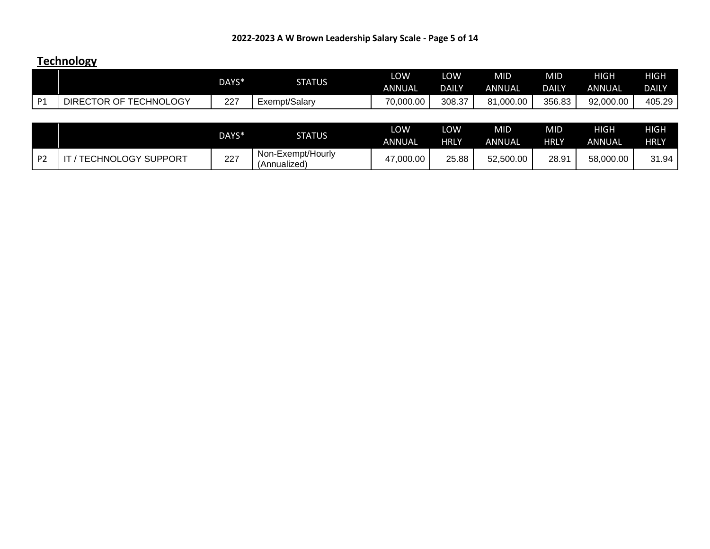# **Technology**

|                |                           | DAYS* | <b>STATUS</b>                     | LOW<br><b>ANNUAL</b> | LOW<br><b>DAILY</b> | <b>MID</b><br>ANNUAL | <b>MID</b><br><b>DAILY</b> | <b>HIGH</b><br>ANNUAL | HIGH<br><b>DAILY</b> |
|----------------|---------------------------|-------|-----------------------------------|----------------------|---------------------|----------------------|----------------------------|-----------------------|----------------------|
| P <sub>1</sub> | DIRECTOR OF TECHNOLOGY    | 227   | Exempt/Salary                     | 70,000.00            | 308.37              | 81,000.00            | 356.83                     | 92,000.00             | 405.29               |
|                |                           |       |                                   |                      |                     |                      |                            |                       |                      |
|                |                           | DAYS* | <b>STATUS</b>                     | LOW<br><b>ANNUAL</b> | LOW<br><b>HRLY</b>  | <b>MID</b><br>ANNUAL | <b>MID</b><br><b>HRLY</b>  | HIGH<br>ANNUAL        | HIGH<br><b>HRLY</b>  |
| P <sub>2</sub> | <b>TECHNOLOGY SUPPORT</b> | 227   | Non-Exempt/Hourly<br>(Annualized) | 47,000.00            | 25.88               | 52,500.00            | 28.91                      | 58,000.00             | 31.94                |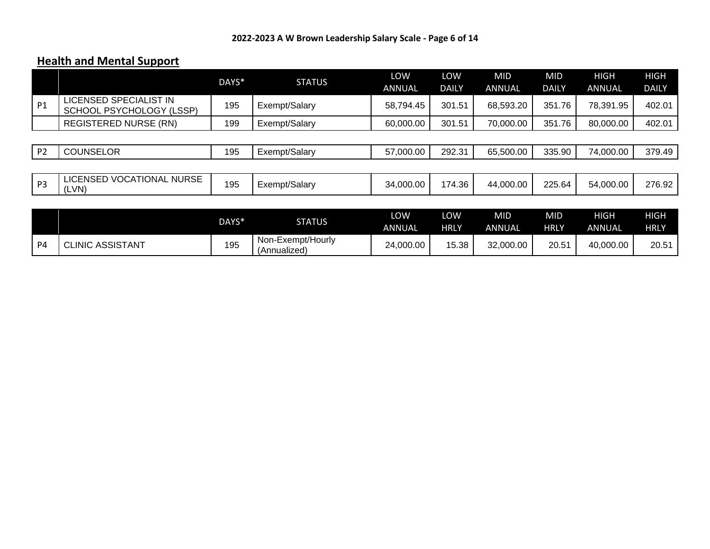# **Health and Mental Support**

|                |                                                    | DAYS* | <b>STATUS</b>                     | LOW<br><b>ANNUAL</b> | LOW<br><b>DAILY</b> | <b>MID</b><br>ANNUAL | <b>MID</b><br><b>DAILY</b> | <b>HIGH</b><br><b>ANNUAL</b> | <b>HIGH</b><br><b>DAILY</b> |
|----------------|----------------------------------------------------|-------|-----------------------------------|----------------------|---------------------|----------------------|----------------------------|------------------------------|-----------------------------|
| P <sub>1</sub> | LICENSED SPECIALIST IN<br>SCHOOL PSYCHOLOGY (LSSP) | 195   | Exempt/Salary                     | 58,794.45            | 301.51              | 68,593.20            | 351.76                     | 78,391.95                    | 402.01                      |
|                | <b>REGISTERED NURSE (RN)</b>                       | 199   | Exempt/Salary                     | 60,000.00            | 301.51              | 70,000.00            | 351.76                     | 80,000.00                    | 402.01                      |
|                |                                                    |       |                                   |                      |                     |                      |                            |                              |                             |
| P <sub>2</sub> | <b>COUNSELOR</b>                                   | 195   | Exempt/Salary                     | 57,000.00            | 292.31              | 65,500.00            | 335.90                     | 74,000.00                    | 379.49                      |
|                |                                                    |       |                                   |                      |                     |                      |                            |                              |                             |
| P <sub>3</sub> | <b>LICENSED VOCATIONAL NURSE</b><br>(LVN)          | 195   | Exempt/Salary                     | 34,000.00            | 174.36              | 44,000.00            | 225.64                     | 54,000.00                    | 276.92                      |
|                |                                                    |       |                                   |                      |                     |                      |                            |                              |                             |
|                |                                                    | DAYS* | <b>STATUS</b>                     | LOW<br><b>ANNUAL</b> | LOW<br><b>HRLY</b>  | <b>MID</b><br>ANNUAL | <b>MID</b><br><b>HRLY</b>  | <b>HIGH</b><br><b>ANNUAL</b> | <b>HIGH</b><br><b>HRLY</b>  |
| P <sub>4</sub> | <b>CLINIC ASSISTANT</b>                            | 195   | Non-Exempt/Hourly<br>(Annualized) | 24,000.00            | 15.38               | 32,000.00            | 20.51                      | 40,000.00                    | 20.51                       |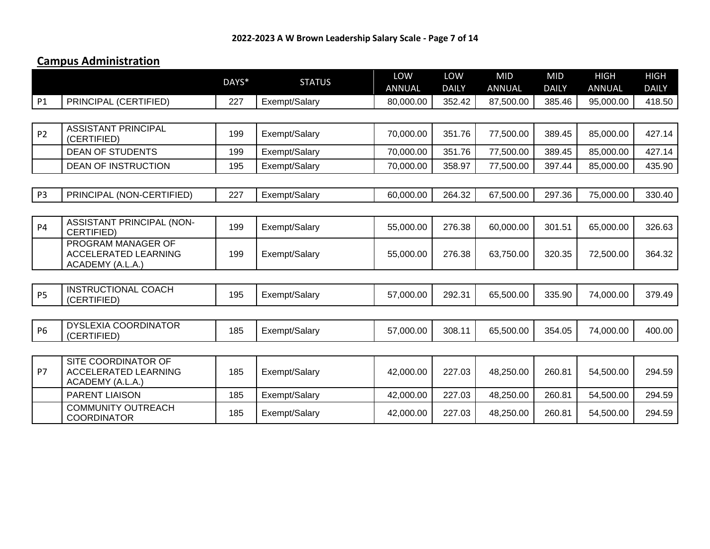# **Campus Administration**

|                |                                                                        | DAYS* | <b>STATUS</b> | LOW<br><b>ANNUAL</b> | LOW<br><b>DAILY</b> | <b>MID</b><br><b>ANNUAL</b> | <b>MID</b><br><b>DAILY</b> | <b>HIGH</b><br><b>ANNUAL</b> | <b>HIGH</b><br><b>DAILY</b> |
|----------------|------------------------------------------------------------------------|-------|---------------|----------------------|---------------------|-----------------------------|----------------------------|------------------------------|-----------------------------|
| P1             | PRINCIPAL (CERTIFIED)                                                  | 227   | Exempt/Salary | 80,000.00            | 352.42              | 87,500.00                   | 385.46                     | 95,000.00                    | 418.50                      |
|                |                                                                        |       |               |                      |                     |                             |                            |                              |                             |
| P <sub>2</sub> | <b>ASSISTANT PRINCIPAL</b><br>(CERTIFIED)                              | 199   | Exempt/Salary | 70,000.00            | 351.76              | 77,500.00                   | 389.45                     | 85,000.00                    | 427.14                      |
|                | <b>DEAN OF STUDENTS</b>                                                | 199   | Exempt/Salary | 70,000.00            | 351.76              | 77,500.00                   | 389.45                     | 85,000.00                    | 427.14                      |
|                | <b>DEAN OF INSTRUCTION</b>                                             | 195   | Exempt/Salary | 70,000.00            | 358.97              | 77,500.00                   | 397.44                     | 85,000.00                    | 435.90                      |
|                |                                                                        |       |               |                      |                     |                             |                            |                              |                             |
| P <sub>3</sub> | PRINCIPAL (NON-CERTIFIED)                                              | 227   | Exempt/Salary | 60,000.00            | 264.32              | 67,500.00                   | 297.36                     | 75,000.00                    | 330.40                      |
|                |                                                                        |       |               |                      |                     |                             |                            |                              |                             |
| <b>P4</b>      | ASSISTANT PRINCIPAL (NON-<br>CERTIFIED)                                | 199   | Exempt/Salary | 55,000.00            | 276.38              | 60,000.00                   | 301.51                     | 65,000.00                    | 326.63                      |
|                | PROGRAM MANAGER OF<br><b>ACCELERATED LEARNING</b><br>ACADEMY (A.L.A.)  | 199   | Exempt/Salary | 55,000.00            | 276.38              | 63,750.00                   | 320.35                     | 72,500.00                    | 364.32                      |
|                |                                                                        |       |               |                      |                     |                             |                            |                              |                             |
| <b>P5</b>      | <b>INSTRUCTIONAL COACH</b><br>(CERTIFIED)                              | 195   | Exempt/Salary | 57,000.00            | 292.31              | 65,500.00                   | 335.90                     | 74,000.00                    | 379.49                      |
|                |                                                                        |       |               |                      |                     |                             |                            |                              |                             |
| <b>P6</b>      | <b>DYSLEXIA COORDINATOR</b><br>(CERTIFIED)                             | 185   | Exempt/Salary | 57,000.00            | 308.11              | 65,500.00                   | 354.05                     | 74,000.00                    | 400.00                      |
|                |                                                                        |       |               |                      |                     |                             |                            |                              |                             |
| P7             | SITE COORDINATOR OF<br><b>ACCELERATED LEARNING</b><br>ACADEMY (A.L.A.) | 185   | Exempt/Salary | 42,000.00            | 227.03              | 48,250.00                   | 260.81                     | 54,500.00                    | 294.59                      |
|                | <b>PARENT LIAISON</b>                                                  | 185   | Exempt/Salary | 42,000.00            | 227.03              | 48,250.00                   | 260.81                     | 54,500.00                    | 294.59                      |
|                | <b>COMMUNITY OUTREACH</b><br><b>COORDINATOR</b>                        | 185   | Exempt/Salary | 42,000.00            | 227.03              | 48,250.00                   | 260.81                     | 54,500.00                    | 294.59                      |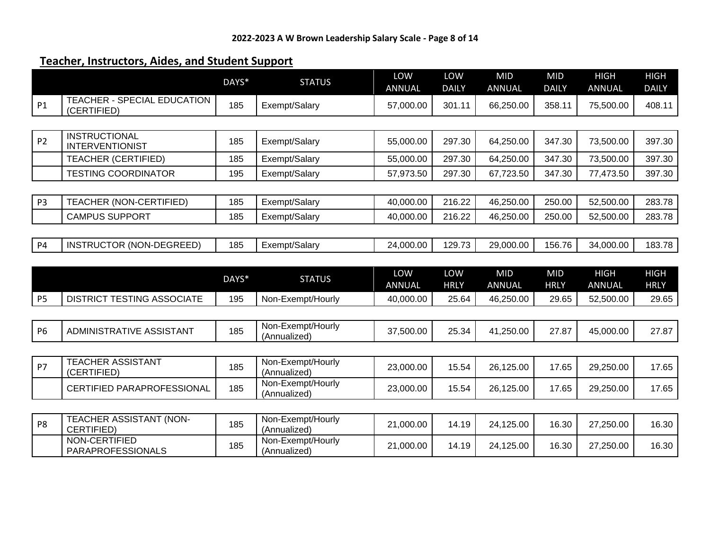# **Teacher, Instructors, Aides, and Student Support**

|                |                                                | DAYS* | <b>STATUS</b>                     | LOW<br><b>ANNUAL</b> | LOW<br><b>DAILY</b> | <b>MID</b><br><b>ANNUAL</b> | <b>MID</b><br><b>DAILY</b> | <b>HIGH</b><br><b>ANNUAL</b> | <b>HIGH</b><br><b>DAILY</b> |
|----------------|------------------------------------------------|-------|-----------------------------------|----------------------|---------------------|-----------------------------|----------------------------|------------------------------|-----------------------------|
| <b>P1</b>      | TEACHER - SPECIAL EDUCATION<br>(CERTIFIED)     | 185   | Exempt/Salary                     | 57,000.00            | 301.11              | 66,250.00                   | 358.11                     | 75,500.00                    | 408.11                      |
|                |                                                |       |                                   |                      |                     |                             |                            |                              |                             |
| <b>P2</b>      | <b>INSTRUCTIONAL</b><br><b>INTERVENTIONIST</b> | 185   | Exempt/Salary                     | 55,000.00            | 297.30              | 64,250.00                   | 347.30                     | 73,500.00                    | 397.30                      |
|                | <b>TEACHER (CERTIFIED)</b>                     | 185   | Exempt/Salary                     | 55,000.00            | 297.30              | 64,250.00                   | 347.30                     | 73,500.00                    | 397.30                      |
|                | <b>TESTING COORDINATOR</b>                     | 195   | Exempt/Salary                     | 57,973.50            | 297.30              | 67,723.50                   | 347.30                     | 77,473.50                    | 397.30                      |
|                |                                                |       |                                   |                      |                     |                             |                            |                              |                             |
| P <sub>3</sub> | <b>TEACHER (NON-CERTIFIED)</b>                 | 185   | Exempt/Salary                     | 40,000.00            | 216.22              | 46,250.00                   | 250.00                     | 52,500.00                    | 283.78                      |
|                | <b>CAMPUS SUPPORT</b>                          | 185   | Exempt/Salary                     | 40,000.00            | 216.22              | 46,250.00                   | 250.00                     | 52,500.00                    | 283.78                      |
|                |                                                |       |                                   |                      |                     |                             |                            |                              |                             |
| <b>P4</b>      | INSTRUCTOR (NON-DEGREED)                       | 185   | Exempt/Salary                     | 24,000.00            | 129.73              | 29,000.00                   | 156.76                     | 34,000.00                    | 183.78                      |
|                |                                                |       |                                   |                      |                     |                             |                            |                              |                             |
|                |                                                |       |                                   |                      |                     |                             |                            |                              |                             |
|                |                                                | DAYS* | <b>STATUS</b>                     | LOW<br><b>ANNUAL</b> | LOW<br><b>HRLY</b>  | <b>MID</b><br><b>ANNUAL</b> | <b>MID</b><br><b>HRLY</b>  | <b>HIGH</b><br><b>ANNUAL</b> | <b>HIGH</b><br><b>HRLY</b>  |
| P <sub>5</sub> | <b>DISTRICT TESTING ASSOCIATE</b>              | 195   | Non-Exempt/Hourly                 | 40,000.00            | 25.64               | 46,250.00                   | 29.65                      | 52,500.00                    | 29.65                       |
|                |                                                |       |                                   |                      |                     |                             |                            |                              |                             |
| <b>P6</b>      | ADMINISTRATIVE ASSISTANT                       | 185   | Non-Exempt/Hourly<br>(Annualized) | 37,500.00            | 25.34               | 41,250.00                   | 27.87                      | 45,000.00                    | 27.87                       |
|                |                                                |       |                                   |                      |                     |                             |                            |                              |                             |
| <b>P7</b>      | <b>TEACHER ASSISTANT</b><br>(CERTIFIED)        | 185   | Non-Exempt/Hourly<br>(Annualized) | 23,000.00            | 15.54               | 26,125.00                   | 17.65                      | 29,250.00                    | 17.65                       |
|                | CERTIFIED PARAPROFESSIONAL                     | 185   | Non-Exempt/Hourly<br>(Annualized) | 23,000.00            | 15.54               | 26,125.00                   | 17.65                      | 29,250.00                    | 17.65                       |
|                |                                                |       |                                   |                      |                     |                             |                            |                              |                             |
| P <sub>8</sub> | TEACHER ASSISTANT (NON-<br>CERTIFIED)          | 185   | Non-Exempt/Hourly<br>(Annualized) | 21,000.00            | 14.19               | 24,125.00                   | 16.30                      | 27,250.00                    | 16.30                       |
|                | NON-CERTIFIED<br><b>PARAPROFESSIONALS</b>      | 185   | Non-Exempt/Hourly<br>(Annualized) | 21,000.00            | 14.19               | 24,125.00                   | 16.30                      | 27,250.00                    | 16.30                       |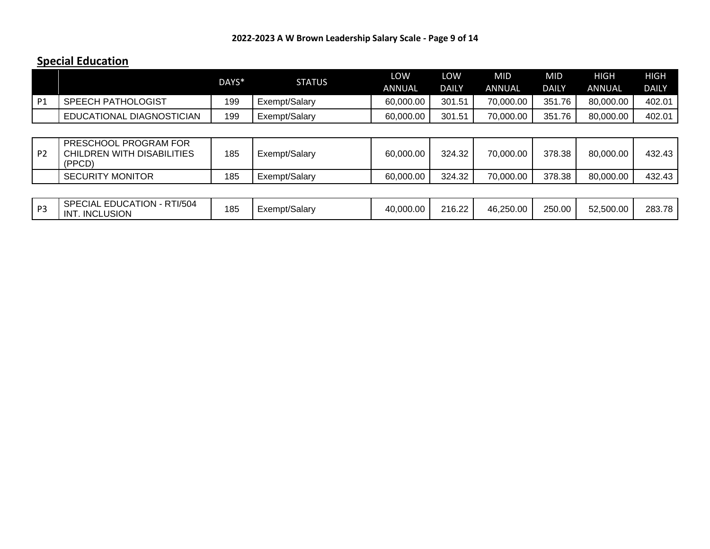# **Special Education**

|                |                           | DAYS* | STATUS        | LOW<br>ANNUAL | .ow<br>DAILY | MID<br>ANNUAL | MID<br>DAILY | HIGH<br>ANNUAL | HIGH<br><b>DAILY</b> |
|----------------|---------------------------|-------|---------------|---------------|--------------|---------------|--------------|----------------|----------------------|
| D <sub>1</sub> | <b>SPEECH PATHOLOGIST</b> | 199   | Exempt/Salary | 60,000.00     | 301.51       | 70,000,00     | 351.76       | 80,000.00      | 402.01               |
|                | EDUCATIONAL DIAGNOSTICIAN | 199   | Exempt/Salary | 60,000.00     | 301.51       | 70.000.00     | 351.<br>.76  | 80,000.00      | 402.01               |

| P2 | PRESCHOOL PROGRAM FOR<br>CHILDREN WITH DISABILITIES<br>(PPCD) | 185 | Exempt/Salary | 60,000.00 | 324.32 | 70,000.00 | 378.38 | 80,000.00 | 432.43 |
|----|---------------------------------------------------------------|-----|---------------|-----------|--------|-----------|--------|-----------|--------|
|    | <b>SECURITY MONITOR</b>                                       | 185 | Exempt/Salary | 60,000.00 | 324.32 | 70,000.00 | 378.38 | 80,000.00 | 432.43 |

| D3<br>- | RTI/504<br><b>ECIAL EDUCATION -</b><br><b>SPE</b><br><b>INCLUSION</b><br>IN1 | 185 | -xempt/Salary | 40,000.00 | 216.22 | 46.250.00 | 250.00 | 52,500.00 | 283.78 |
|---------|------------------------------------------------------------------------------|-----|---------------|-----------|--------|-----------|--------|-----------|--------|
|---------|------------------------------------------------------------------------------|-----|---------------|-----------|--------|-----------|--------|-----------|--------|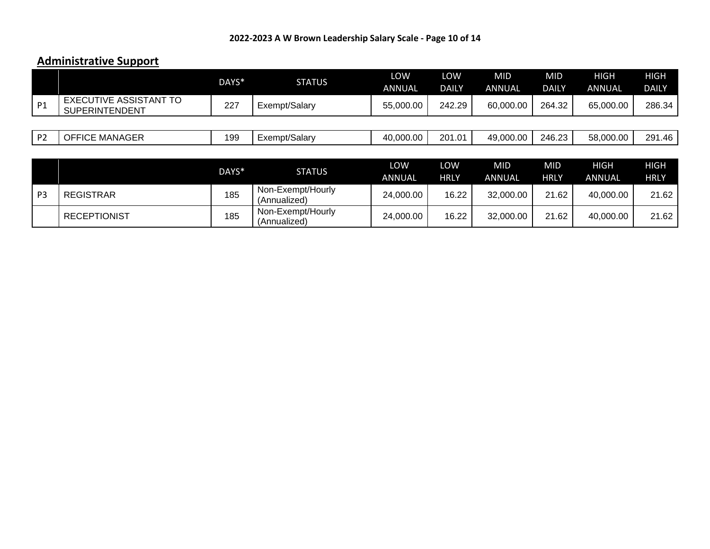# **Administrative Support**

|                |                                                 | DAYS* | <b>STATUS</b> | LOW<br>ANNUAL | LOW<br><b>DAILY</b> | <b>MID</b><br>ANNUAL | MID.<br><b>DAILY</b> | <b>HIGH</b><br><b>ANNUAL</b> | <b>HIGH</b><br>DAILY |
|----------------|-------------------------------------------------|-------|---------------|---------------|---------------------|----------------------|----------------------|------------------------------|----------------------|
| P <sub>1</sub> | EXECUTIVE ASSISTANT TO<br><b>SUPERINTENDENT</b> | 227   | Exempt/Salary | 55,000.00     | 242.29              | 60,000.00            | 264.32               | 65,000.00                    | 286.34               |
|                |                                                 |       |               |               |                     |                      |                      |                              |                      |
| P <sub>2</sub> | OFFICE MANAGER                                  | 199   | Exempt/Salary | 40,000.00     | 201.01              | 49,000.00            | 246.23               | 58,000.00                    | 291.46               |

|                |                     | DAYS* | <b>STATUS</b>                     | LOW<br><b>ANNUAL</b> | LOW<br>HRLY | <b>MID</b><br>ANNUAL | MID<br>HRLY | <b>HIGH</b><br><b>ANNUAL</b> | <b>HIGH</b><br><b>HRLY</b> |
|----------------|---------------------|-------|-----------------------------------|----------------------|-------------|----------------------|-------------|------------------------------|----------------------------|
| P <sub>3</sub> | <b>REGISTRAR</b>    | 185   | Non-Exempt/Hourly<br>(Annualized) | 24,000.00            | 16.22       | 32,000.00            | 21.62       | 40,000.00                    | 21.62                      |
|                | <b>RECEPTIONIST</b> | 185   | Non-Exempt/Hourly<br>(Annualized) | 24,000.00            | 16.22       | 32,000.00            | 21.62       | 40,000.00                    | 21.62                      |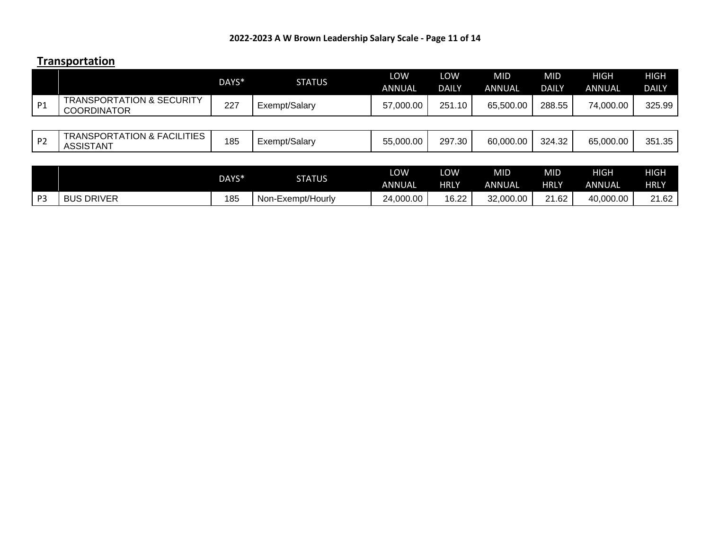#### **Transportation**

|                |                                                            | DAYS* | <b>STATUS</b>     | LOW<br>ANNUAL        | LOW<br><b>DAILY</b> | MID<br><b>ANNUAL</b>        | <b>MID</b><br><b>DAILY</b> | <b>HIGH</b><br><b>ANNUAL</b> | <b>HIGH</b><br><b>DAILY</b> |
|----------------|------------------------------------------------------------|-------|-------------------|----------------------|---------------------|-----------------------------|----------------------------|------------------------------|-----------------------------|
| P <sub>1</sub> | <b>TRANSPORTATION &amp; SECURITY</b><br><b>COORDINATOR</b> | 227   | Exempt/Salary     | 57,000.00            | 251.10              | 65,500,00                   | 288.55                     | 74,000.00                    | 325.99                      |
|                |                                                            |       |                   |                      |                     |                             |                            |                              |                             |
| <b>P2</b>      | <b>TRANSPORTATION &amp; FACILITIES</b><br><b>ASSISTANT</b> | 185   | Exempt/Salary     | 55,000.00            | 297.30              | 60,000.00                   | 324.32                     | 65,000.00                    | 351.35                      |
|                |                                                            |       |                   |                      |                     |                             |                            |                              |                             |
|                |                                                            | DAYS* | <b>STATUS</b>     | LOW<br><b>ANNUAL</b> | LOW<br><b>HRLY</b>  | <b>MID</b><br><b>ANNUAL</b> | <b>MID</b><br><b>HRLY</b>  | <b>HIGH</b><br><b>ANNUAL</b> | <b>HIGH</b><br><b>HRLY</b>  |
| P <sub>3</sub> | <b>BUS DRIVER</b>                                          | 185   | Non-Exempt/Hourly | 24,000.00            | 16.22               | 32,000,00                   | 21.62                      | 40,000.00                    | 21.62                       |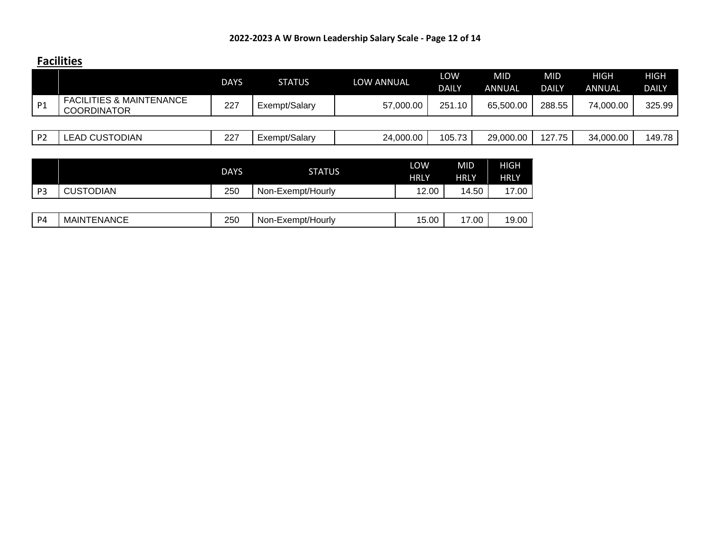#### **Facilities**

|                |                                                           | <b>DAYS</b> | <b>STATUS</b> | LOW ANNUAL | LOW<br><b>DAILY</b> | MID<br><b>ANNUAL</b> | <b>MID</b><br><b>DAILY</b> | HIGH<br><b>ANNUAL</b> | <b>HIGH</b><br><b>DAILY</b> |
|----------------|-----------------------------------------------------------|-------------|---------------|------------|---------------------|----------------------|----------------------------|-----------------------|-----------------------------|
| P <sub>1</sub> | <b>FACILITIES &amp; MAINTENANCE</b><br><b>COORDINATOR</b> | 227         | Exempt/Salary | 57,000.00  | 251.10              | 65,500.00            | 288.55                     | 74,000.00             | 325.99                      |
|                |                                                           |             |               |            |                     |                      |                            |                       |                             |
| P <sub>2</sub> | <b>LEAD CUSTODIAN</b>                                     | 227         | Exempt/Salary | 24,000.00  | 105.73              | 29,000.00            | 127.75                     | 34,000.00             | 149.78                      |

|                |                    | <b>DAYS</b> | <b>STATUS</b>     | LOW<br><b>HRLY</b> | <b>MID</b><br><b>HRLY</b> | HIGH<br><b>HRLY</b> |
|----------------|--------------------|-------------|-------------------|--------------------|---------------------------|---------------------|
| P <sub>3</sub> | <b>CUSTODIAN</b>   | 250         | Non-Exempt/Hourly | 12.00              | 14.50                     | 17.00               |
|                |                    |             |                   |                    |                           |                     |
| P <sub>4</sub> | <b>MAINTENANCE</b> | 250         | Non-Exempt/Hourly | 15.00              | 17.00                     | 19.00               |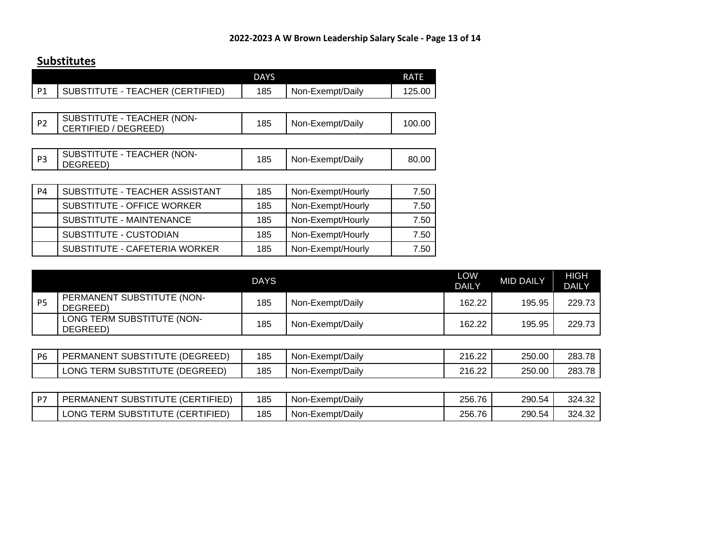#### **Substitutes**

|                |                                                    | <b>DAYS</b> |                   | <b>RATE</b> |
|----------------|----------------------------------------------------|-------------|-------------------|-------------|
| P1             | SUBSTITUTE - TEACHER (CERTIFIED)                   | 185         | Non-Exempt/Daily  | 125.00      |
|                |                                                    |             |                   |             |
| P <sub>2</sub> | SUBSTITUTE - TEACHER (NON-<br>CERTIFIED / DEGREED) | 185         | Non-Exempt/Daily  | 100.00      |
|                |                                                    |             |                   |             |
| P <sub>3</sub> | SUBSTITUTE - TEACHER (NON-<br>DEGREED)             | 185         | Non-Exempt/Daily  | 80.00       |
|                |                                                    |             |                   |             |
| <b>P4</b>      | SUBSTITUTE - TEACHER ASSISTANT                     | 185         | Non-Exempt/Hourly | 7.50        |
|                | SUBSTITUTE - OFFICE WORKER                         | 185         | Non-Exempt/Hourly | 7.50        |
|                | SUBSTITUTE - MAINTENANCE                           | 185         | Non-Exempt/Hourly | 7.50        |
|                | SUBSTITUTE - CUSTODIAN                             | 185         | Non-Exempt/Hourly | 7.50        |
|                | SUBSTITUTE - CAFETERIA WORKER                      | 185         | Non-Exempt/Hourly | 7.50        |

|    | <b>DAYS</b>                            |     |                  |        | <b>MID DAILY</b> | HIGH<br><b>DAILY</b> |
|----|----------------------------------------|-----|------------------|--------|------------------|----------------------|
| P5 | PERMANENT SUBSTITUTE (NON-<br>DEGREED) | 185 | Non-Exempt/Daily | 162.22 | 195.95           | 229.73               |
|    | LONG TERM SUBSTITUTE (NON-<br>DEGREED) | 185 | Non-Exempt/Daily | 162.22 | 195.95           | 229.73               |

| P <sub>6</sub> | : (DEGREED)<br>SUBST<br><b>PERMANENT</b><br>1111 I E | 185 | <sub>n-Exempt</sub> /Daily<br>Non | $\sim$<br>າ1 ຂ<br>20.LL  | 250.00 | 283.78 |
|----------------|------------------------------------------------------|-----|-----------------------------------|--------------------------|--------|--------|
|                | _ONC<br><b>SUBSTITU</b><br>TERM<br><b>DEGREED</b>    | 185 | »n-Exempt/Daily<br>Non            | $\sim$<br>າ1 ຂ<br>LIU.LL | 250.00 | 283.78 |

| $n-$ | (CERTIFIED)<br><b>SUBST</b><br>PERMANENT<br>IIUIE.                | 185 | Non-Exempt/Daily | 256.76 | 290.54 | 324.32 |
|------|-------------------------------------------------------------------|-----|------------------|--------|--------|--------|
|      | <b>RTIFIED</b><br>_ONC<br><b>SUBSTITU</b><br>'ERM<br>∴FR'<br>- 11 | 185 | Non-Exempt/Daily | 256.76 | 290.54 | 324.32 |